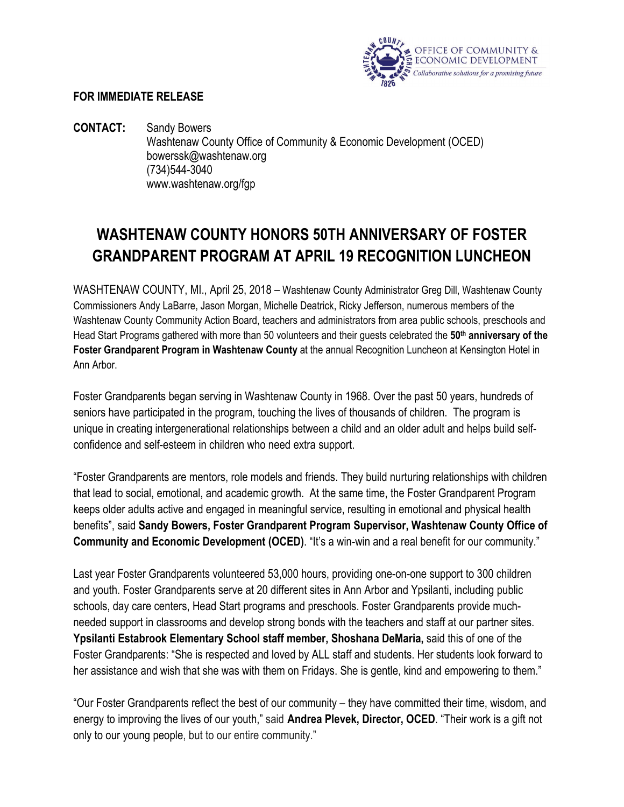

## **FOR IMMEDIATE RELEASE**

**CONTACT:** Sandy Bowers Washtenaw County Office of Community & Economic Development (OCED) bowerssk@washtenaw.org (734)544-3040 www.washtenaw.org/fgp

## **WASHTENAW COUNTY HONORS 50TH ANNIVERSARY OF FOSTER GRANDPARENT PROGRAM AT APRIL 19 RECOGNITION LUNCHEON**

WASHTENAW COUNTY, MI., April 25, 2018 – Washtenaw County Administrator Greg Dill, Washtenaw County Commissioners Andy LaBarre, Jason Morgan, Michelle Deatrick, Ricky Jefferson, numerous members of the Washtenaw County Community Action Board, teachers and administrators from area public schools, preschools and Head Start Programs gathered with more than 50 volunteers and their guests celebrated the **50th anniversary of the Foster Grandparent Program in Washtenaw County** at the annual Recognition Luncheon at Kensington Hotel in Ann Arbor.

Foster Grandparents began serving in Washtenaw County in 1968. Over the past 50 years, hundreds of seniors have participated in the program, touching the lives of thousands of children. The program is unique in creating intergenerational relationships between a child and an older adult and helps build selfconfidence and self-esteem in children who need extra support.

"Foster Grandparents are mentors, role models and friends. They build nurturing relationships with children that lead to social, emotional, and academic growth. At the same time, the Foster Grandparent Program keeps older adults active and engaged in meaningful service, resulting in emotional and physical health benefits", said **Sandy Bowers, Foster Grandparent Program Supervisor, Washtenaw County Office of Community and Economic Development (OCED)**. "It's a win-win and a real benefit for our community."

Last year Foster Grandparents volunteered 53,000 hours, providing one-on-one support to 300 children and youth. Foster Grandparents serve at 20 different sites in Ann Arbor and Ypsilanti, including public schools, day care centers, Head Start programs and preschools. Foster Grandparents provide muchneeded support in classrooms and develop strong bonds with the teachers and staff at our partner sites. **Ypsilanti Estabrook Elementary School staff member, Shoshana DeMaria,** said this of one of the Foster Grandparents: "She is respected and loved by ALL staff and students. Her students look forward to her assistance and wish that she was with them on Fridays. She is gentle, kind and empowering to them."

"Our Foster Grandparents reflect the best of our community – they have committed their time, wisdom, and energy to improving the lives of our youth," said **Andrea Plevek, Director, OCED**. "Their work is a gift not only to our young people, but to our entire community."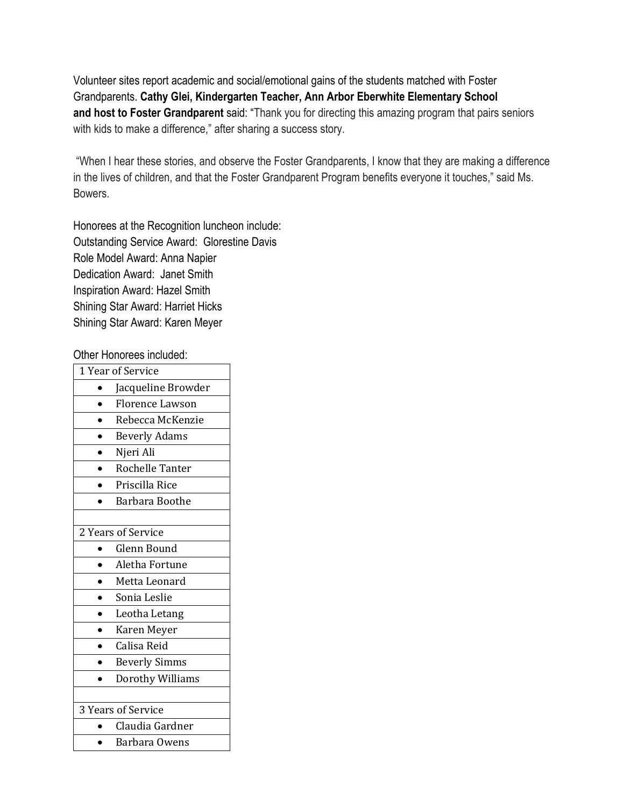Volunteer sites report academic and social/emotional gains of the students matched with Foster Grandparents. **Cathy Glei, Kindergarten Teacher, Ann Arbor Eberwhite Elementary School and host to Foster Grandparent** said: "Thank you for directing this amazing program that pairs seniors with kids to make a difference," after sharing a success story.

"When I hear these stories, and observe the Foster Grandparents, I know that they are making a difference in the lives of children, and that the Foster Grandparent Program benefits everyone it touches," said Ms. Bowers.

Honorees at the Recognition luncheon include: Outstanding Service Award: Glorestine Davis Role Model Award: Anna Napier Dedication Award: Janet Smith Inspiration Award: Hazel Smith Shining Star Award: Harriet Hicks Shining Star Award: Karen Meyer

Other Honorees included:

| 1 Year of Service  |                        |  |
|--------------------|------------------------|--|
|                    | Jacqueline Browder     |  |
|                    | Florence Lawson        |  |
|                    | Rebecca McKenzie       |  |
|                    | <b>Beverly Adams</b>   |  |
|                    | Njeri Ali              |  |
|                    | <b>Rochelle Tanter</b> |  |
|                    | Priscilla Rice         |  |
|                    | Barbara Boothe         |  |
|                    |                        |  |
| 2 Years of Service |                        |  |
|                    | Glenn Bound            |  |
|                    | Aletha Fortune         |  |
|                    | Metta Leonard          |  |
|                    | Sonia Leslie           |  |
|                    | Leotha Letang          |  |
|                    | Karen Meyer            |  |
|                    | Calisa Reid            |  |
|                    | <b>Beverly Simms</b>   |  |
|                    | Dorothy Williams       |  |
|                    |                        |  |
| 3 Years of Service |                        |  |
|                    | Claudia Gardner        |  |
|                    | Barbara Owens          |  |
|                    |                        |  |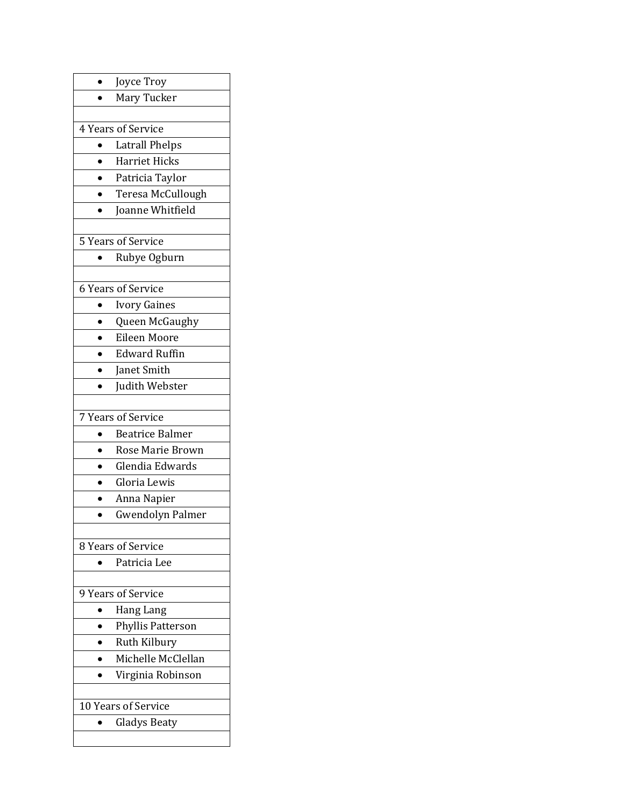| Joyce Troy                            |  |  |
|---------------------------------------|--|--|
| Mary Tucker                           |  |  |
|                                       |  |  |
| 4 Years of Service                    |  |  |
| <b>Latrall Phelps</b>                 |  |  |
| Harriet Hicks                         |  |  |
| Patricia Taylor                       |  |  |
| Teresa McCullough                     |  |  |
| Joanne Whitfield                      |  |  |
|                                       |  |  |
| 5 Years of Service                    |  |  |
| Rubye Ogburn                          |  |  |
|                                       |  |  |
| 6 Years of Service                    |  |  |
| <b>Ivory Gaines</b>                   |  |  |
| Queen McGaughy                        |  |  |
| Eileen Moore                          |  |  |
| <b>Edward Ruffin</b>                  |  |  |
| Janet Smith                           |  |  |
| Judith Webster                        |  |  |
|                                       |  |  |
| 7 Years of Service                    |  |  |
| <b>Beatrice Balmer</b>                |  |  |
| Rose Marie Brown                      |  |  |
| Glendia Edwards                       |  |  |
| Gloria Lewis                          |  |  |
| Anna Napier                           |  |  |
| <b>Gwendolyn Palmer</b>               |  |  |
|                                       |  |  |
| 8 Years of Service                    |  |  |
| Patricia Lee                          |  |  |
| 9 Years of Service                    |  |  |
|                                       |  |  |
| Hang Lang<br><b>Phyllis Patterson</b> |  |  |
| Ruth Kilbury                          |  |  |
| Michelle McClellan                    |  |  |
| Virginia Robinson                     |  |  |
|                                       |  |  |
| 10 Years of Service                   |  |  |
| <b>Gladys Beaty</b>                   |  |  |
|                                       |  |  |
|                                       |  |  |